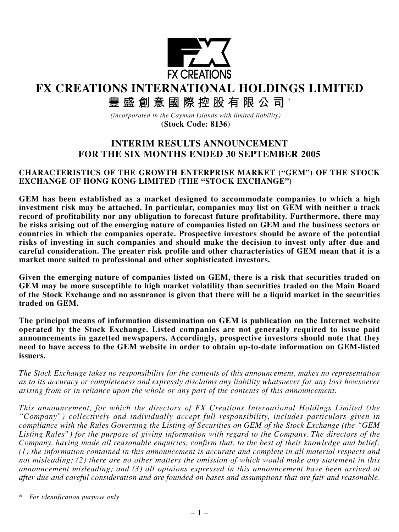

**FX CREATIONS INTERNATIONAL HOLDINGS LIMITED**

**豐盛創意國際控股有限公司** \*

*(incorporated in the Cayman Islands with limited liability)* **(Stock Code: 8136)**

# **INTERIM RESULTS ANNOUNCEMENT FOR THE SIX MONTHS ENDED 30 SEPTEMBER 2005**

### **CHARACTERISTICS OF THE GROWTH ENTERPRISE MARKET ("GEM") OF THE STOCK EXCHANGE OF HONG KONG LIMITED (THE "STOCK EXCHANGE")**

**GEM has been established as a market designed to accommodate companies to which a high investment risk may be attached. In particular, companies may list on GEM with neither a track record of profitability nor any obligation to forecast future profitability. Furthermore, there may be risks arising out of the emerging nature of companies listed on GEM and the business sectors or countries in which the companies operate. Prospective investors should be aware of the potential risks of investing in such companies and should make the decision to invest only after due and careful consideration. The greater risk profile and other characteristics of GEM mean that it is a market more suited to professional and other sophisticated investors.**

**Given the emerging nature of companies listed on GEM, there is a risk that securities traded on GEM may be more susceptible to high market volatility than securities traded on the Main Board of the Stock Exchange and no assurance is given that there will be a liquid market in the securities traded on GEM.**

**The principal means of information dissemination on GEM is publication on the Internet website operated by the Stock Exchange. Listed companies are not generally required to issue paid announcements in gazetted newspapers. Accordingly, prospective investors should note that they need to have access to the GEM website in order to obtain up-to-date information on GEM-listed issuers.**

*The Stock Exchange takes no responsibility for the contents of this announcement, makes no representation as to its accuracy or completeness and expressly disclaims any liability whatsoever for any loss howsoever arising from or in reliance upon the whole or any part of the contents of this announcement.*

*This announcement, for which the directors of FX Creations International Holdings Limited (the "Company") collectively and individually accept full responsibility, includes particulars given in compliance with the Rules Governing the Listing of Securities on GEM of the Stock Exchange (the "GEM Listing Rules") for the purpose of giving information with regard to the Company. The directors of the Company, having made all reasonable enquiries, confirm that, to the best of their knowledge and belief: (1) the information contained in this announcement is accurate and complete in all material respects and not misleading; (2) there are no other matters the omission of which would make any statement in this announcement misleading; and (3) all opinions expressed in this announcement have been arrived at after due and careful consideration and are founded on bases and assumptions that are fair and reasonable.*

*\* For identification purpose only*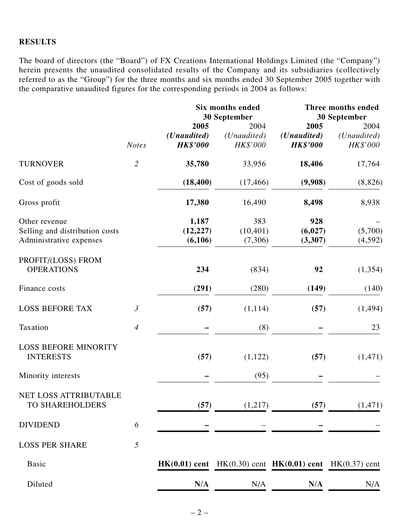#### **RESULTS**

The board of directors (the "Board") of FX Creations International Holdings Limited (the "Company") herein presents the unaudited consolidated results of the Company and its subsidiaries (collectively referred to as the "Group") for the three months and six months ended 30 September 2005 together with the comparative unaudited figures for the corresponding periods in 2004 as follows:

|                                                                            |                |                                                 | <b>Six months ended</b><br>30 September  |                                                                 | Three months ended<br>30 September       |
|----------------------------------------------------------------------------|----------------|-------------------------------------------------|------------------------------------------|-----------------------------------------------------------------|------------------------------------------|
|                                                                            | <b>Notes</b>   | 2005<br>( <i>Unaudited</i> )<br><b>HK\$'000</b> | 2004<br>( <i>Unaudited</i> )<br>HK\$'000 | 2005<br>( <i>Unaudited</i> )<br><b>HK\$'000</b>                 | 2004<br>( <i>Unaudited</i> )<br>HK\$'000 |
| <b>TURNOVER</b>                                                            | $\overline{2}$ | 35,780                                          | 33,956                                   | 18,406                                                          | 17,764                                   |
| Cost of goods sold                                                         |                | (18, 400)                                       | (17, 466)                                | (9,908)                                                         | (8,826)                                  |
| Gross profit                                                               |                | 17,380                                          | 16,490                                   | 8,498                                                           | 8,938                                    |
| Other revenue<br>Selling and distribution costs<br>Administrative expenses |                | 1,187<br>(12, 227)<br>(6,106)                   | 383<br>(10, 401)<br>(7,306)              | 928<br>(6,027)<br>(3,307)                                       | (5,700)<br>(4,592)                       |
| PROFIT/(LOSS) FROM<br><b>OPERATIONS</b>                                    |                | 234                                             | (834)                                    | 92                                                              | (1, 354)                                 |
| Finance costs                                                              |                | (291)                                           | (280)                                    | (149)                                                           | (140)                                    |
| <b>LOSS BEFORE TAX</b>                                                     | $\mathfrak{Z}$ | (57)                                            | (1,114)                                  | (57)                                                            | (1, 494)                                 |
| Taxation                                                                   | $\overline{4}$ |                                                 | (8)                                      |                                                                 | 23                                       |
| <b>LOSS BEFORE MINORITY</b><br><b>INTERESTS</b>                            |                | (57)                                            | (1,122)                                  | (57)                                                            | (1, 471)                                 |
| Minority interests                                                         |                |                                                 | (95)                                     |                                                                 |                                          |
| NET LOSS ATTRIBUTABLE<br>TO SHAREHOLDERS                                   |                | (57)                                            | (1,217)                                  | (57)                                                            | (1, 471)                                 |
| <b>DIVIDEND</b>                                                            | 6              |                                                 |                                          |                                                                 |                                          |
| <b>LOSS PER SHARE</b>                                                      | 5              |                                                 |                                          |                                                                 |                                          |
| <b>Basic</b>                                                               |                |                                                 |                                          | $HK(0.01)$ cent $HK(0.30)$ cent $HK(0.01)$ cent $HK(0.37)$ cent |                                          |
| Diluted                                                                    |                | N/A                                             | N/A                                      | N/A                                                             | N/A                                      |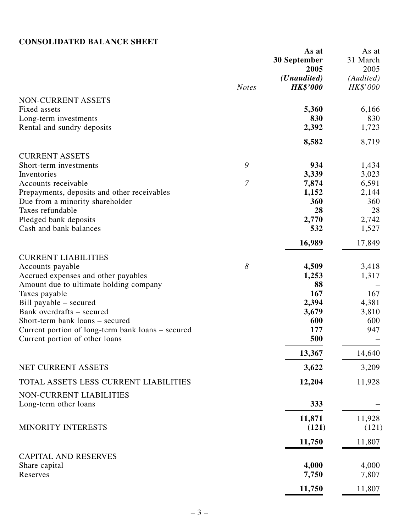# **CONSOLIDATED BALANCE SHEET**

|                                                   |                | As at<br>30 September | As at<br>31 March |
|---------------------------------------------------|----------------|-----------------------|-------------------|
|                                                   |                | 2005                  | 2005              |
|                                                   |                | ( <i>Unaudited</i> )  | (Audited)         |
|                                                   | <b>Notes</b>   | <b>HK\$'000</b>       | HK\$'000          |
| NON-CURRENT ASSETS                                |                |                       |                   |
| Fixed assets                                      |                | 5,360                 | 6,166             |
| Long-term investments                             |                | 830                   | 830               |
| Rental and sundry deposits                        |                | 2,392                 | 1,723             |
|                                                   |                | 8,582                 | 8,719             |
| <b>CURRENT ASSETS</b>                             |                |                       |                   |
| Short-term investments                            | 9              | 934                   | 1,434             |
| Inventories                                       |                | 3,339                 | 3,023             |
| Accounts receivable                               | $\overline{7}$ | 7,874                 | 6,591             |
| Prepayments, deposits and other receivables       |                | 1,152                 | 2,144             |
| Due from a minority shareholder                   |                | 360                   | 360               |
| Taxes refundable                                  |                | 28                    | 28                |
| Pledged bank deposits                             |                | 2,770                 | 2,742             |
| Cash and bank balances                            |                | 532                   | 1,527             |
|                                                   |                | 16,989                | 17,849            |
| <b>CURRENT LIABILITIES</b>                        |                |                       |                   |
| Accounts payable                                  | 8              | 4,509                 | 3,418             |
| Accrued expenses and other payables               |                | 1,253                 | 1,317             |
| Amount due to ultimate holding company            |                | 88                    |                   |
| Taxes payable                                     |                | 167                   | 167               |
| Bill payable – secured                            |                | 2,394                 | 4,381             |
| Bank overdrafts – secured                         |                | 3,679                 | 3,810             |
| Short-term bank loans – secured                   |                | 600                   | 600               |
| Current portion of long-term bank loans – secured |                | 177                   | 947               |
| Current portion of other loans                    |                | 500                   |                   |
|                                                   |                | 13,367                | 14,640            |
| NET CURRENT ASSETS                                |                | 3,622                 | 3,209             |
| TOTAL ASSETS LESS CURRENT LIABILITIES             |                | 12,204                | 11,928            |
|                                                   |                |                       |                   |
| NON-CURRENT LIABILITIES<br>Long-term other loans  |                | 333                   |                   |
|                                                   |                |                       |                   |
|                                                   |                | 11,871                | 11,928            |
| MINORITY INTERESTS                                |                | (121)                 | (121)             |
|                                                   |                | 11,750                | 11,807            |
| <b>CAPITAL AND RESERVES</b>                       |                |                       |                   |
| Share capital                                     |                | 4,000                 | 4,000             |
| Reserves                                          |                | 7,750                 | 7,807             |
|                                                   |                | 11,750                | 11,807            |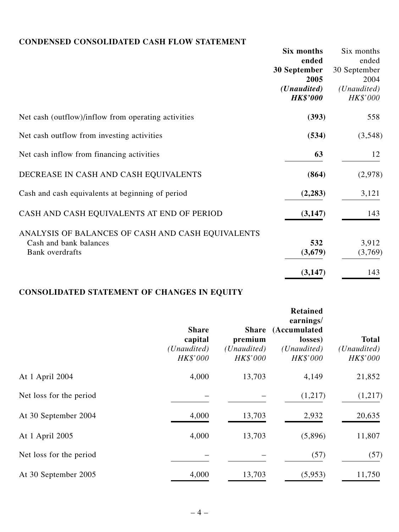# **CONDENSED CONSOLIDATED CASH FLOW STATEMENT**

|                                                     | Six months           | Six months   |
|-----------------------------------------------------|----------------------|--------------|
|                                                     | ended                | ended        |
|                                                     | 30 September         | 30 September |
|                                                     | 2005                 | 2004         |
|                                                     | ( <i>Unaudited</i> ) | (Unaudited)  |
|                                                     | <b>HK\$'000</b>      | HK\$'000     |
| Net cash (outflow)/inflow from operating activities | (393)                | 558          |
| Net cash outflow from investing activities          | (534)                | (3,548)      |
| Net cash inflow from financing activities           | 63                   | 12           |
| DECREASE IN CASH AND CASH EQUIVALENTS               | (864)                | (2,978)      |
| Cash and cash equivalents at beginning of period    | (2, 283)             | 3,121        |
| CASH AND CASH EQUIVALENTS AT END OF PERIOD          | (3,147)              | 143          |
| ANALYSIS OF BALANCES OF CASH AND CASH EQUIVALENTS   |                      |              |
| Cash and bank balances                              | 532                  | 3,912        |
| Bank overdrafts                                     | (3,679)              | (3,769)      |
|                                                     | (3, 147)             | 143          |

# **CONSOLIDATED STATEMENT OF CHANGES IN EQUITY**

|                         | <b>Share</b><br>capital<br>(Unaudited)<br>HK\$'000 | premium<br>( <i>Unaudited</i> )<br>HK\$'000 | <b>Retained</b><br>earnings/<br>Share (Accumulated<br>losses)<br>( <i>Unaudited</i> )<br>HK\$'000 | <b>Total</b><br>(Unaudited)<br>HK\$'000 |
|-------------------------|----------------------------------------------------|---------------------------------------------|---------------------------------------------------------------------------------------------------|-----------------------------------------|
| At 1 April 2004         | 4,000                                              | 13,703                                      | 4,149                                                                                             | 21,852                                  |
| Net loss for the period |                                                    |                                             | (1,217)                                                                                           | (1,217)                                 |
| At 30 September 2004    | 4,000                                              | 13,703                                      | 2,932                                                                                             | 20,635                                  |
| At 1 April 2005         | 4,000                                              | 13,703                                      | (5,896)                                                                                           | 11,807                                  |
| Net loss for the period |                                                    |                                             | (57)                                                                                              | (57)                                    |
| At 30 September 2005    | 4,000                                              | 13,703                                      | (5,953)                                                                                           | 11,750                                  |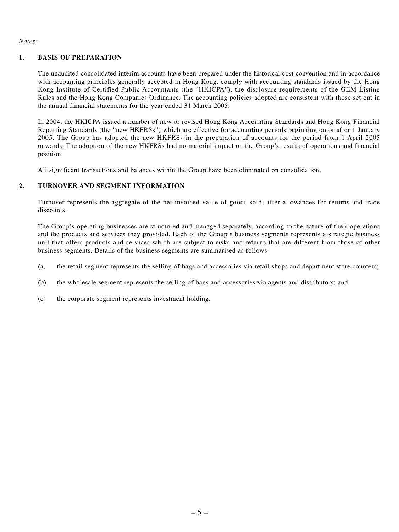*Notes:*

#### **1. BASIS OF PREPARATION**

The unaudited consolidated interim accounts have been prepared under the historical cost convention and in accordance with accounting principles generally accepted in Hong Kong, comply with accounting standards issued by the Hong Kong Institute of Certified Public Accountants (the "HKICPA"), the disclosure requirements of the GEM Listing Rules and the Hong Kong Companies Ordinance. The accounting policies adopted are consistent with those set out in the annual financial statements for the year ended 31 March 2005.

In 2004, the HKICPA issued a number of new or revised Hong Kong Accounting Standards and Hong Kong Financial Reporting Standards (the "new HKFRSs") which are effective for accounting periods beginning on or after 1 January 2005. The Group has adopted the new HKFRSs in the preparation of accounts for the period from 1 April 2005 onwards. The adoption of the new HKFRSs had no material impact on the Group's results of operations and financial position.

All significant transactions and balances within the Group have been eliminated on consolidation.

#### **2. TURNOVER AND SEGMENT INFORMATION**

Turnover represents the aggregate of the net invoiced value of goods sold, after allowances for returns and trade discounts.

The Group's operating businesses are structured and managed separately, according to the nature of their operations and the products and services they provided. Each of the Group's business segments represents a strategic business unit that offers products and services which are subject to risks and returns that are different from those of other business segments. Details of the business segments are summarised as follows:

- (a) the retail segment represents the selling of bags and accessories via retail shops and department store counters;
- (b) the wholesale segment represents the selling of bags and accessories via agents and distributors; and
- (c) the corporate segment represents investment holding.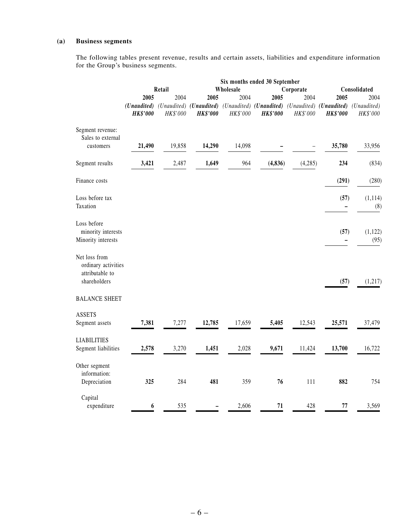#### **(a) Business segments**

The following tables present revenue, results and certain assets, liabilities and expenditure information for the Group's business segments.

|                                      | Six months ended 30 September |          |                 |                        |                                                             |          |                                     |              |  |  |
|--------------------------------------|-------------------------------|----------|-----------------|------------------------|-------------------------------------------------------------|----------|-------------------------------------|--------------|--|--|
|                                      |                               | Retail   |                 | Wholesale<br>Corporate |                                                             |          |                                     | Consolidated |  |  |
|                                      | 2005                          | 2004     | 2005            | 2004                   | 2005                                                        | 2004     | 2005                                | 2004         |  |  |
|                                      |                               |          |                 |                        | (Unaudited) (Unaudited) (Unaudited) (Unaudited) (Unaudited) |          | (Unaudited) (Unaudited) (Unaudited) |              |  |  |
|                                      | <b>HK\$'000</b>               | HK\$'000 | <b>HK\$'000</b> | $HK\$'000$             | <b>HK\$'000</b>                                             | HK\$'000 | <b>HK\$'000</b>                     | HK\$'000     |  |  |
| Segment revenue:                     |                               |          |                 |                        |                                                             |          |                                     |              |  |  |
| Sales to external                    |                               |          |                 |                        |                                                             |          |                                     |              |  |  |
| customers                            | 21,490                        | 19,858   | 14,290          | 14,098                 |                                                             |          | 35,780                              | 33,956       |  |  |
| Segment results                      | 3,421                         | 2,487    | 1,649           | 964                    | (4, 836)                                                    | (4,285)  | 234                                 | (834)        |  |  |
| Finance costs                        |                               |          |                 |                        |                                                             |          | (291)                               | (280)        |  |  |
| Loss before tax                      |                               |          |                 |                        |                                                             |          | (57)                                | (1, 114)     |  |  |
| Taxation                             |                               |          |                 |                        |                                                             |          |                                     | (8)          |  |  |
| Loss before                          |                               |          |                 |                        |                                                             |          |                                     |              |  |  |
| minority interests                   |                               |          |                 |                        |                                                             |          | (57)                                | (1, 122)     |  |  |
| Minority interests                   |                               |          |                 |                        |                                                             |          | —                                   | (95)         |  |  |
|                                      |                               |          |                 |                        |                                                             |          |                                     |              |  |  |
| Net loss from<br>ordinary activities |                               |          |                 |                        |                                                             |          |                                     |              |  |  |
| attributable to<br>shareholders      |                               |          |                 |                        |                                                             |          | (57)                                | (1,217)      |  |  |
|                                      |                               |          |                 |                        |                                                             |          |                                     |              |  |  |
| <b>BALANCE SHEET</b>                 |                               |          |                 |                        |                                                             |          |                                     |              |  |  |
| <b>ASSETS</b>                        |                               |          |                 |                        |                                                             |          |                                     |              |  |  |
| Segment assets                       | 7,381                         | 7,277    | 12,785          | 17,659                 | 5,405                                                       | 12,543   | 25,571                              | 37,479       |  |  |
| <b>LIABILITIES</b>                   |                               |          |                 |                        |                                                             |          |                                     |              |  |  |
| Segment liabilities                  | 2,578                         | 3,270    | 1,451           | 2,028                  | 9,671                                                       | 11,424   | 13,700                              | 16,722       |  |  |
| Other segment                        |                               |          |                 |                        |                                                             |          |                                     |              |  |  |
| information:                         |                               |          |                 |                        |                                                             |          |                                     |              |  |  |
| Depreciation                         | 325                           | 284      | 481             | 359                    | 76                                                          | 111      | 882                                 | 754          |  |  |
| Capital                              |                               |          |                 |                        |                                                             |          |                                     |              |  |  |
| expenditure                          | 6                             | 535      |                 | 2,606                  | 71                                                          | 428      | $77 \,$                             | 3,569        |  |  |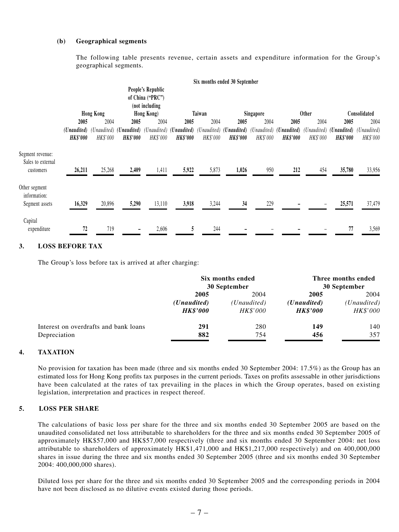#### **(b) Geographical segments**

The following table presents revenue, certain assets and expenditure information for the Group's geographical segments.

|                                       |                                |                  |                                                                                |                                                         |                 |          | Six months ended 30 September  |           |                                                     |                         |                                |                         |
|---------------------------------------|--------------------------------|------------------|--------------------------------------------------------------------------------|---------------------------------------------------------|-----------------|----------|--------------------------------|-----------|-----------------------------------------------------|-------------------------|--------------------------------|-------------------------|
|                                       |                                |                  |                                                                                | People's Republic<br>of China ("PRC")<br>(not including |                 |          |                                |           |                                                     |                         |                                |                         |
|                                       |                                | <b>Hong Kong</b> |                                                                                | Hong Kong)                                              |                 | Taiwan   |                                | Singapore |                                                     | <b>Other</b>            |                                | Consolidated            |
|                                       | 2005                           | 2004             | 2005                                                                           | 2004                                                    | 2005            | 2004     | 2005                           | 2004      | 2005                                                | 2004                    | 2005                           | 2004                    |
|                                       | (Unaudited)<br><b>HK\$'000</b> | HK\$'000         | (Unaudited) (Unaudited) (Unaudited) (Unaudited) (Unaudited)<br><b>HK\$'000</b> | HK\$'000                                                | <b>HK\$'000</b> | HK\$'000 | (Unaudited)<br><b>HK\$'000</b> | HK\$'000  | (Unaudited) ( <b>Unaudited</b> )<br><b>HK\$'000</b> | (Unaudited)<br>HK\$'000 | (Unaudited)<br><b>HK\$'000</b> | (Unaudited)<br>HK\$'000 |
| Segment revenue:<br>Sales to external |                                |                  |                                                                                |                                                         |                 |          |                                |           |                                                     |                         |                                |                         |
| customers                             | 26,211                         | 25,268           | 2,409                                                                          | 1,411                                                   | 5,922           | 5,873    | 1,026                          | 950       | 212                                                 | 454                     | 35,780                         | 33,956                  |
| Other segment<br>information:         |                                |                  |                                                                                |                                                         |                 |          |                                |           |                                                     |                         |                                |                         |
| Segment assets                        | 16,329                         | 20,896           | 5,290                                                                          | 13,110                                                  | 3,918           | 3,244    | 34                             | 229       |                                                     |                         | 25,571                         | 37,479                  |
| Capital<br>expenditure                | 72                             | 719              |                                                                                | 2,606                                                   | 5               | 244      |                                |           |                                                     |                         | 77                             | 3,569                   |
|                                       |                                |                  |                                                                                |                                                         |                 |          |                                |           |                                                     |                         |                                |                         |

#### **3. LOSS BEFORE TAX**

The Group's loss before tax is arrived at after charging:

|                                       | Six months ended<br>30 September |                 | Three months ended<br>30 September |                      |  |
|---------------------------------------|----------------------------------|-----------------|------------------------------------|----------------------|--|
|                                       | 2005                             | 2004            | 2005                               | 2004                 |  |
|                                       | ( <i>Unaudited</i> )             | (Unaudited)     | ( <i>Unaudited</i> )               | ( <i>Unaudited</i> ) |  |
|                                       | <b>HK\$'000</b>                  | <i>HK\$'000</i> | <b>HK\$'000</b>                    | HK\$'000             |  |
| Interest on overdrafts and bank loans | 291                              | 280             | 149                                | 140                  |  |
| Depreciation                          | 882                              | 754             | 456                                | 357                  |  |

#### **4. TAXATION**

No provision for taxation has been made (three and six months ended 30 September 2004: 17.5%) as the Group has an estimated loss for Hong Kong profits tax purposes in the current periods. Taxes on profits assessable in other jurisdictions have been calculated at the rates of tax prevailing in the places in which the Group operates, based on existing legislation, interpretation and practices in respect thereof.

#### **5. LOSS PER SHARE**

The calculations of basic loss per share for the three and six months ended 30 September 2005 are based on the unaudited consolidated net loss attributable to shareholders for the three and six months ended 30 September 2005 of approximately HK\$57,000 and HK\$57,000 respectively (three and six months ended 30 September 2004: net loss attributable to shareholders of approximately HK\$1,471,000 and HK\$1,217,000 respectively) and on 400,000,000 shares in issue during the three and six months ended 30 September 2005 (three and six months ended 30 September 2004: 400,000,000 shares).

Diluted loss per share for the three and six months ended 30 September 2005 and the corresponding periods in 2004 have not been disclosed as no dilutive events existed during those periods.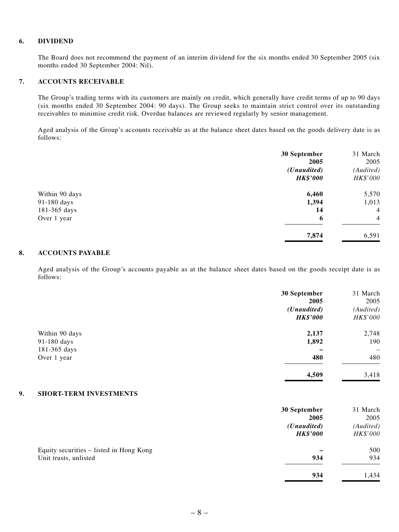#### **6. DIVIDEND**

The Board does not recommend the payment of an interim dividend for the six months ended 30 September 2005 (six months ended 30 September 2004: Nil).

#### **7. ACCOUNTS RECEIVABLE**

The Group's trading terms with its customers are mainly on credit, which generally have credit terms of up to 90 days (six months ended 30 September 2004: 90 days). The Group seeks to maintain strict control over its outstanding receivables to minimise credit risk. Overdue balances are reviewed regularly by senior management.

Aged analysis of the Group's accounts receivable as at the balance sheet dates based on the goods delivery date is as follows:

|                | 30 September         | 31 March       |
|----------------|----------------------|----------------|
|                | 2005                 | 2005           |
|                | ( <i>Unaudited</i> ) | (Audited)      |
|                | <b>HK\$'000</b>      | HK\$'000       |
| Within 90 days | 6,460                | 5,570          |
| 91-180 days    | 1,394                | 1,013          |
| 181-365 days   | 14                   | $\overline{4}$ |
| Over 1 year    | 6                    | $\overline{4}$ |
|                | 7,874                | 6,591          |

#### **8. ACCOUNTS PAYABLE**

Aged analysis of the Group's accounts payable as at the balance sheet dates based on the goods receipt date is as follows:

|                                     | 30 September<br>2005 | 31 March<br>2005 |
|-------------------------------------|----------------------|------------------|
|                                     | ( <i>Unaudited</i> ) | (Audited)        |
|                                     | <b>HK\$'000</b>      | HK\$'000         |
| Within 90 days                      | 2,137                | 2,748            |
| 91-180 days                         | 1,892                | 190              |
| 181-365 days                        |                      | -                |
| Over 1 year                         | 480                  | 480              |
|                                     | 4,509                | 3,418            |
| <b>SHORT-TERM INVESTMENTS</b><br>9. |                      |                  |

|                                         | 30 September         | 31 March  |
|-----------------------------------------|----------------------|-----------|
|                                         | 2005                 | 2005      |
|                                         | ( <i>Unaudited</i> ) | (Audited) |
|                                         | <b>HK\$'000</b>      | HK\$'000  |
| Equity securities – listed in Hong Kong |                      | 500       |
| Unit trusts, unlisted                   | 934                  | 934       |
|                                         | 934                  | 1,434     |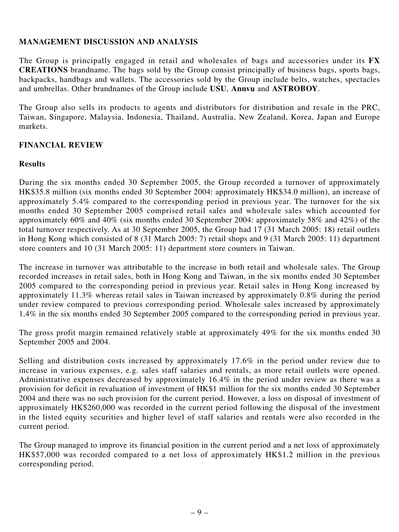# **MANAGEMENT DISCUSSION AND ANALYSIS**

The Group is principally engaged in retail and wholesales of bags and accessories under its **FX CREATIONS** brandname. The bags sold by the Group consist principally of business bags, sports bags, backpacks, handbags and wallets. The accessories sold by the Group include belts, watches, spectacles and umbrellas. Other brandnames of the Group include **USU**, **Annvu** and **ASTROBOY**.

The Group also sells its products to agents and distributors for distribution and resale in the PRC, Taiwan, Singapore, Malaysia, Indonesia, Thailand, Australia, New Zealand, Korea, Japan and Europe markets.

### **FINANCIAL REVIEW**

#### **Results**

During the six months ended 30 September 2005, the Group recorded a turnover of approximately HK\$35.8 million (six months ended 30 September 2004: approximately HK\$34.0 million), an increase of approximately 5.4% compared to the corresponding period in previous year. The turnover for the six months ended 30 September 2005 comprised retail sales and wholesale sales which accounted for approximately 60% and 40% (six months ended 30 September 2004: approximately 58% and 42%) of the total turnover respectively. As at 30 September 2005, the Group had 17 (31 March 2005: 18) retail outlets in Hong Kong which consisted of 8 (31 March 2005: 7) retail shops and 9 (31 March 2005: 11) department store counters and 10 (31 March 2005: 11) department store counters in Taiwan.

The increase in turnover was attributable to the increase in both retail and wholesale sales. The Group recorded increases in retail sales, both in Hong Kong and Taiwan, in the six months ended 30 September 2005 compared to the corresponding period in previous year. Retail sales in Hong Kong increased by approximately 11.3% whereas retail sales in Taiwan increased by approximately 0.8% during the period under review compared to previous corresponding period. Wholesale sales increased by approximately 1.4% in the six months ended 30 September 2005 compared to the corresponding period in previous year.

The gross profit margin remained relatively stable at approximately 49% for the six months ended 30 September 2005 and 2004.

Selling and distribution costs increased by approximately 17.6% in the period under review due to increase in various expenses, e.g. sales staff salaries and rentals, as more retail outlets were opened. Administrative expenses decreased by approximately 16.4% in the period under review as there was a provision for deficit in revaluation of investment of HK\$1 million for the six months ended 30 September 2004 and there was no such provision for the current period. However, a loss on disposal of investment of approximately HK\$260,000 was recorded in the current period following the disposal of the investment in the listed equity securities and higher level of staff salaries and rentals were also recorded in the current period.

The Group managed to improve its financial position in the current period and a net loss of approximately HK\$57,000 was recorded compared to a net loss of approximately HK\$1.2 million in the previous corresponding period.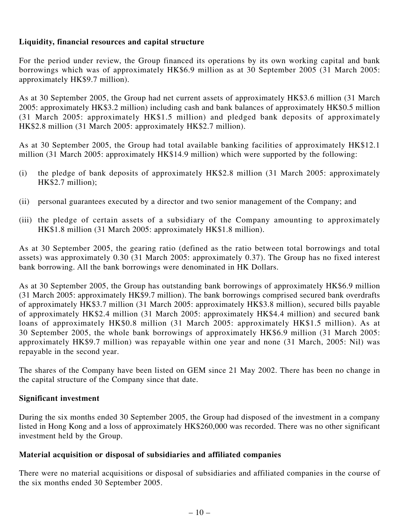# **Liquidity, financial resources and capital structure**

For the period under review, the Group financed its operations by its own working capital and bank borrowings which was of approximately HK\$6.9 million as at 30 September 2005 (31 March 2005: approximately HK\$9.7 million).

As at 30 September 2005, the Group had net current assets of approximately HK\$3.6 million (31 March 2005: approximately HK\$3.2 million) including cash and bank balances of approximately HK\$0.5 million (31 March 2005: approximately HK\$1.5 million) and pledged bank deposits of approximately HK\$2.8 million (31 March 2005: approximately HK\$2.7 million).

As at 30 September 2005, the Group had total available banking facilities of approximately HK\$12.1 million (31 March 2005: approximately HK\$14.9 million) which were supported by the following:

- (i) the pledge of bank deposits of approximately HK\$2.8 million (31 March 2005: approximately HK\$2.7 million);
- (ii) personal guarantees executed by a director and two senior management of the Company; and
- (iii) the pledge of certain assets of a subsidiary of the Company amounting to approximately HK\$1.8 million (31 March 2005: approximately HK\$1.8 million).

As at 30 September 2005, the gearing ratio (defined as the ratio between total borrowings and total assets) was approximately 0.30 (31 March 2005: approximately 0.37). The Group has no fixed interest bank borrowing. All the bank borrowings were denominated in HK Dollars.

As at 30 September 2005, the Group has outstanding bank borrowings of approximately HK\$6.9 million (31 March 2005: approximately HK\$9.7 million). The bank borrowings comprised secured bank overdrafts of approximately HK\$3.7 million (31 March 2005: approximately HK\$3.8 million), secured bills payable of approximately HK\$2.4 million (31 March 2005: approximately HK\$4.4 million) and secured bank loans of approximately HK\$0.8 million (31 March 2005: approximately HK\$1.5 million). As at 30 September 2005, the whole bank borrowings of approximately HK\$6.9 million (31 March 2005: approximately HK\$9.7 million) was repayable within one year and none (31 March, 2005: Nil) was repayable in the second year.

The shares of the Company have been listed on GEM since 21 May 2002. There has been no change in the capital structure of the Company since that date.

### **Significant investment**

During the six months ended 30 September 2005, the Group had disposed of the investment in a company listed in Hong Kong and a loss of approximately HK\$260,000 was recorded. There was no other significant investment held by the Group.

### **Material acquisition or disposal of subsidiaries and affiliated companies**

There were no material acquisitions or disposal of subsidiaries and affiliated companies in the course of the six months ended 30 September 2005.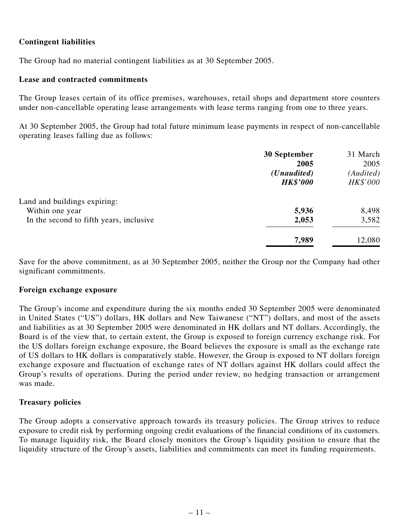# **Contingent liabilities**

The Group had no material contingent liabilities as at 30 September 2005.

### **Lease and contracted commitments**

The Group leases certain of its office premises, warehouses, retail shops and department store counters under non-cancellable operating lease arrangements with lease terms ranging from one to three years.

At 30 September 2005, the Group had total future minimum lease payments in respect of non-cancellable operating leases falling due as follows:

|                                         | 30 September         | 31 March  |
|-----------------------------------------|----------------------|-----------|
|                                         | 2005                 | 2005      |
|                                         | ( <i>Unaudited</i> ) | (Audited) |
|                                         | <b>HK\$'000</b>      | HK\$'000  |
| Land and buildings expiring:            |                      |           |
| Within one year                         | 5,936                | 8,498     |
| In the second to fifth years, inclusive | 2,053                | 3,582     |
|                                         | 7,989                | 12,080    |

Save for the above commitment, as at 30 September 2005, neither the Group nor the Company had other significant commitments.

#### **Foreign exchange exposure**

The Group's income and expenditure during the six months ended 30 September 2005 were denominated in United States ("US") dollars, HK dollars and New Taiwanese ("NT") dollars, and most of the assets and liabilities as at 30 September 2005 were denominated in HK dollars and NT dollars. Accordingly, the Board is of the view that, to certain extent, the Group is exposed to foreign currency exchange risk. For the US dollars foreign exchange exposure, the Board believes the exposure is small as the exchange rate of US dollars to HK dollars is comparatively stable. However, the Group is exposed to NT dollars foreign exchange exposure and fluctuation of exchange rates of NT dollars against HK dollars could affect the Group's results of operations. During the period under review, no hedging transaction or arrangement was made.

#### **Treasury policies**

The Group adopts a conservative approach towards its treasury policies. The Group strives to reduce exposure to credit risk by performing ongoing credit evaluations of the financial conditions of its customers. To manage liquidity risk, the Board closely monitors the Group's liquidity position to ensure that the liquidity structure of the Group's assets, liabilities and commitments can meet its funding requirements.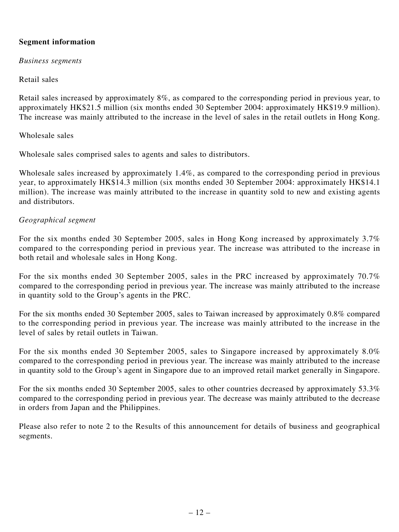# **Segment information**

*Business segments*

### Retail sales

Retail sales increased by approximately 8%, as compared to the corresponding period in previous year, to approximately HK\$21.5 million (six months ended 30 September 2004: approximately HK\$19.9 million). The increase was mainly attributed to the increase in the level of sales in the retail outlets in Hong Kong.

### Wholesale sales

Wholesale sales comprised sales to agents and sales to distributors.

Wholesale sales increased by approximately 1.4%, as compared to the corresponding period in previous year, to approximately HK\$14.3 million (six months ended 30 September 2004: approximately HK\$14.1 million). The increase was mainly attributed to the increase in quantity sold to new and existing agents and distributors.

### *Geographical segment*

For the six months ended 30 September 2005, sales in Hong Kong increased by approximately 3.7% compared to the corresponding period in previous year. The increase was attributed to the increase in both retail and wholesale sales in Hong Kong.

For the six months ended 30 September 2005, sales in the PRC increased by approximately 70.7% compared to the corresponding period in previous year. The increase was mainly attributed to the increase in quantity sold to the Group's agents in the PRC.

For the six months ended 30 September 2005, sales to Taiwan increased by approximately 0.8% compared to the corresponding period in previous year. The increase was mainly attributed to the increase in the level of sales by retail outlets in Taiwan.

For the six months ended 30 September 2005, sales to Singapore increased by approximately 8.0% compared to the corresponding period in previous year. The increase was mainly attributed to the increase in quantity sold to the Group's agent in Singapore due to an improved retail market generally in Singapore.

For the six months ended 30 September 2005, sales to other countries decreased by approximately 53.3% compared to the corresponding period in previous year. The decrease was mainly attributed to the decrease in orders from Japan and the Philippines.

Please also refer to note 2 to the Results of this announcement for details of business and geographical segments.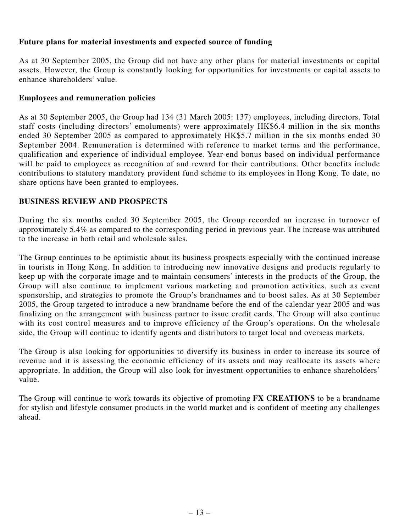# **Future plans for material investments and expected source of funding**

As at 30 September 2005, the Group did not have any other plans for material investments or capital assets. However, the Group is constantly looking for opportunities for investments or capital assets to enhance shareholders' value.

# **Employees and remuneration policies**

As at 30 September 2005, the Group had 134 (31 March 2005: 137) employees, including directors. Total staff costs (including directors' emoluments) were approximately HK\$6.4 million in the six months ended 30 September 2005 as compared to approximately HK\$5.7 million in the six months ended 30 September 2004. Remuneration is determined with reference to market terms and the performance, qualification and experience of individual employee. Year-end bonus based on individual performance will be paid to employees as recognition of and reward for their contributions. Other benefits include contributions to statutory mandatory provident fund scheme to its employees in Hong Kong. To date, no share options have been granted to employees.

# **BUSINESS REVIEW AND PROSPECTS**

During the six months ended 30 September 2005, the Group recorded an increase in turnover of approximately 5.4% as compared to the corresponding period in previous year. The increase was attributed to the increase in both retail and wholesale sales.

The Group continues to be optimistic about its business prospects especially with the continued increase in tourists in Hong Kong. In addition to introducing new innovative designs and products regularly to keep up with the corporate image and to maintain consumers' interests in the products of the Group, the Group will also continue to implement various marketing and promotion activities, such as event sponsorship, and strategies to promote the Group's brandnames and to boost sales. As at 30 September 2005, the Group targeted to introduce a new brandname before the end of the calendar year 2005 and was finalizing on the arrangement with business partner to issue credit cards. The Group will also continue with its cost control measures and to improve efficiency of the Group's operations. On the wholesale side, the Group will continue to identify agents and distributors to target local and overseas markets.

The Group is also looking for opportunities to diversify its business in order to increase its source of revenue and it is assessing the economic efficiency of its assets and may reallocate its assets where appropriate. In addition, the Group will also look for investment opportunities to enhance shareholders' value.

The Group will continue to work towards its objective of promoting **FX CREATIONS** to be a brandname for stylish and lifestyle consumer products in the world market and is confident of meeting any challenges ahead.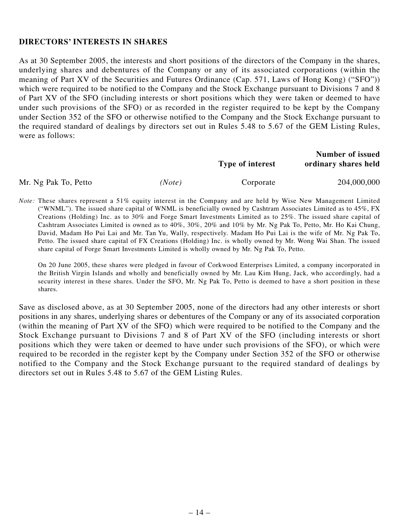### **DIRECTORS' INTERESTS IN SHARES**

As at 30 September 2005, the interests and short positions of the directors of the Company in the shares, underlying shares and debentures of the Company or any of its associated corporations (within the meaning of Part XV of the Securities and Futures Ordinance (Cap. 571, Laws of Hong Kong) ("SFO")) which were required to be notified to the Company and the Stock Exchange pursuant to Divisions 7 and 8 of Part XV of the SFO (including interests or short positions which they were taken or deemed to have under such provisions of the SFO) or as recorded in the register required to be kept by the Company under Section 352 of the SFO or otherwise notified to the Company and the Stock Exchange pursuant to the required standard of dealings by directors set out in Rules 5.48 to 5.67 of the GEM Listing Rules, were as follows:

|                      |        | Type of interest | Number of issued<br>ordinary shares held |
|----------------------|--------|------------------|------------------------------------------|
| Mr. Ng Pak To, Petto | (Note) | Corporate        | 204,000,000                              |

*Note:* These shares represent a 51% equity interest in the Company and are held by Wise New Management Limited ("WNML"). The issued share capital of WNML is beneficially owned by Cashtram Associates Limited as to 45%, FX Creations (Holding) Inc. as to 30% and Forge Smart Investments Limited as to 25%. The issued share capital of Cashtram Associates Limited is owned as to 40%, 30%, 20% and 10% by Mr. Ng Pak To, Petto, Mr. Ho Kai Chung, David, Madam Ho Pui Lai and Mr. Tan Yu, Wally, respectively. Madam Ho Pui Lai is the wife of Mr. Ng Pak To, Petto. The issued share capital of FX Creations (Holding) Inc. is wholly owned by Mr. Wong Wai Shan. The issued share capital of Forge Smart Investments Limited is wholly owned by Mr. Ng Pak To, Petto.

On 20 June 2005, these shares were pledged in favour of Corkwood Enterprises Limited, a company incorporated in the British Virgin Islands and wholly and beneficially owned by Mr. Lau Kim Hung, Jack, who accordingly, had a security interest in these shares. Under the SFO, Mr. Ng Pak To, Petto is deemed to have a short position in these shares.

Save as disclosed above, as at 30 September 2005, none of the directors had any other interests or short positions in any shares, underlying shares or debentures of the Company or any of its associated corporation (within the meaning of Part XV of the SFO) which were required to be notified to the Company and the Stock Exchange pursuant to Divisions 7 and 8 of Part XV of the SFO (including interests or short positions which they were taken or deemed to have under such provisions of the SFO), or which were required to be recorded in the register kept by the Company under Section 352 of the SFO or otherwise notified to the Company and the Stock Exchange pursuant to the required standard of dealings by directors set out in Rules 5.48 to 5.67 of the GEM Listing Rules.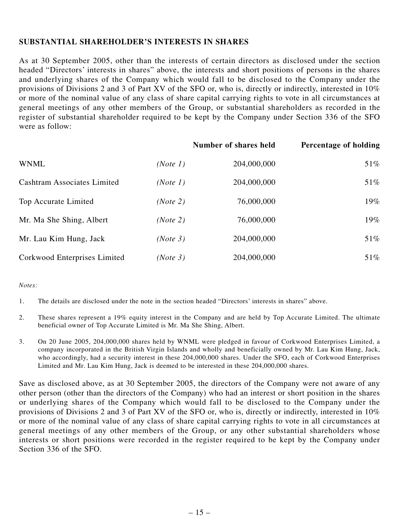# **SUBSTANTIAL SHAREHOLDER'S INTERESTS IN SHARES**

As at 30 September 2005, other than the interests of certain directors as disclosed under the section headed "Directors' interests in shares" above, the interests and short positions of persons in the shares and underlying shares of the Company which would fall to be disclosed to the Company under the provisions of Divisions 2 and 3 of Part XV of the SFO or, who is, directly or indirectly, interested in  $10\%$ or more of the nominal value of any class of share capital carrying rights to vote in all circumstances at general meetings of any other members of the Group, or substantial shareholders as recorded in the register of substantial shareholder required to be kept by the Company under Section 336 of the SFO were as follow:

|                                    |          | Number of shares held | Percentage of holding |
|------------------------------------|----------|-----------------------|-----------------------|
| <b>WNML</b>                        | (Note 1) | 204,000,000           | 51%                   |
| <b>Cashtram Associates Limited</b> | (Note 1) | 204,000,000           | 51%                   |
| Top Accurate Limited               | (Note 2) | 76,000,000            | 19%                   |
| Mr. Ma She Shing, Albert           | (Note 2) | 76,000,000            | 19%                   |
| Mr. Lau Kim Hung, Jack             | (Note 3) | 204,000,000           | 51%                   |
| Corkwood Enterprises Limited       | (Note 3) | 204,000,000           | 51%                   |

#### *Notes:*

1. The details are disclosed under the note in the section headed "Directors' interests in shares" above.

- 2. These shares represent a 19% equity interest in the Company and are held by Top Accurate Limited. The ultimate beneficial owner of Top Accurate Limited is Mr. Ma She Shing, Albert.
- 3. On 20 June 2005, 204,000,000 shares held by WNML were pledged in favour of Corkwood Enterprises Limited, a company incorporated in the British Virgin Islands and wholly and beneficially owned by Mr. Lau Kim Hung, Jack, who accordingly, had a security interest in these 204,000,000 shares. Under the SFO, each of Corkwood Enterprises Limited and Mr. Lau Kim Hung, Jack is deemed to be interested in these 204,000,000 shares.

Save as disclosed above, as at 30 September 2005, the directors of the Company were not aware of any other person (other than the directors of the Company) who had an interest or short position in the shares or underlying shares of the Company which would fall to be disclosed to the Company under the provisions of Divisions 2 and 3 of Part XV of the SFO or, who is, directly or indirectly, interested in 10% or more of the nominal value of any class of share capital carrying rights to vote in all circumstances at general meetings of any other members of the Group, or any other substantial shareholders whose interests or short positions were recorded in the register required to be kept by the Company under Section 336 of the SFO.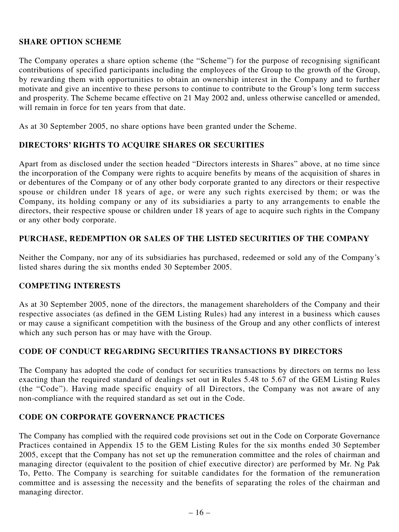### **SHARE OPTION SCHEME**

The Company operates a share option scheme (the "Scheme") for the purpose of recognising significant contributions of specified participants including the employees of the Group to the growth of the Group, by rewarding them with opportunities to obtain an ownership interest in the Company and to further motivate and give an incentive to these persons to continue to contribute to the Group's long term success and prosperity. The Scheme became effective on 21 May 2002 and, unless otherwise cancelled or amended, will remain in force for ten years from that date.

As at 30 September 2005, no share options have been granted under the Scheme.

### **DIRECTORS' RIGHTS TO ACQUIRE SHARES OR SECURITIES**

Apart from as disclosed under the section headed "Directors interests in Shares" above, at no time since the incorporation of the Company were rights to acquire benefits by means of the acquisition of shares in or debentures of the Company or of any other body corporate granted to any directors or their respective spouse or children under 18 years of age, or were any such rights exercised by them; or was the Company, its holding company or any of its subsidiaries a party to any arrangements to enable the directors, their respective spouse or children under 18 years of age to acquire such rights in the Company or any other body corporate.

### **PURCHASE, REDEMPTION OR SALES OF THE LISTED SECURITIES OF THE COMPANY**

Neither the Company, nor any of its subsidiaries has purchased, redeemed or sold any of the Company's listed shares during the six months ended 30 September 2005.

#### **COMPETING INTERESTS**

As at 30 September 2005, none of the directors, the management shareholders of the Company and their respective associates (as defined in the GEM Listing Rules) had any interest in a business which causes or may cause a significant competition with the business of the Group and any other conflicts of interest which any such person has or may have with the Group.

### **CODE OF CONDUCT REGARDING SECURITIES TRANSACTIONS BY DIRECTORS**

The Company has adopted the code of conduct for securities transactions by directors on terms no less exacting than the required standard of dealings set out in Rules 5.48 to 5.67 of the GEM Listing Rules (the "Code"). Having made specific enquiry of all Directors, the Company was not aware of any non-compliance with the required standard as set out in the Code.

#### **CODE ON CORPORATE GOVERNANCE PRACTICES**

The Company has complied with the required code provisions set out in the Code on Corporate Governance Practices contained in Appendix 15 to the GEM Listing Rules for the six months ended 30 September 2005, except that the Company has not set up the remuneration committee and the roles of chairman and managing director (equivalent to the position of chief executive director) are performed by Mr. Ng Pak To, Petto. The Company is searching for suitable candidates for the formation of the remuneration committee and is assessing the necessity and the benefits of separating the roles of the chairman and managing director.